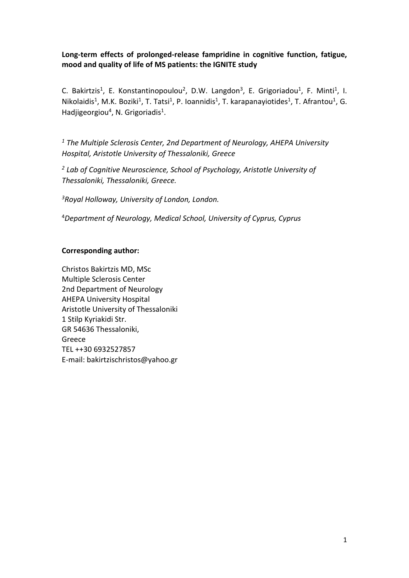# **Long-term effects of prolonged-release fampridine in cognitive function, fatigue, mood and quality of life of MS patients: the IGNITE study**

C. Bakirtzis<sup>1</sup>, E. Konstantinopoulou<sup>2</sup>, D.W. Langdon<sup>3</sup>, E. Grigoriadou<sup>1</sup>, F. Minti<sup>1</sup>, I. Nikolaidis<sup>1</sup>, M.K. Boziki<sup>1</sup>, T. Tatsi<sup>1</sup>, P. Ioannidis<sup>1</sup>, T. karapanayiotides<sup>1</sup>, T. Afrantou<sup>1</sup>, G. Hadjigeorgiou<sup>4</sup>, N. Grigoriadis<sup>1</sup>.

*<sup>1</sup> The Multiple Sclerosis Center, 2nd Department of Neurology, AHEPA University Hospital, Aristotle University of Thessaloniki, Greece*

*<sup>2</sup> Lab of Cognitive Neuroscience, School of Psychology, Aristotle University of Thessaloniki, Thessaloniki, Greece.*

*3Royal Holloway, University of London, London.*

<sup>4</sup>*Department of Neurology, Medical School, University of Cyprus, Cyprus*

#### **Corresponding author:**

Christos Bakirtzis MD, MSc Multiple Sclerosis Center 2nd Department of Neurology AHEPA University Hospital Aristotle University of Thessaloniki 1 Stilp Kyriakidi Str. GR 54636 Thessaloniki, Greece TEL ++30 6932527857 E-mail: bakirtzischristos@yahoo.gr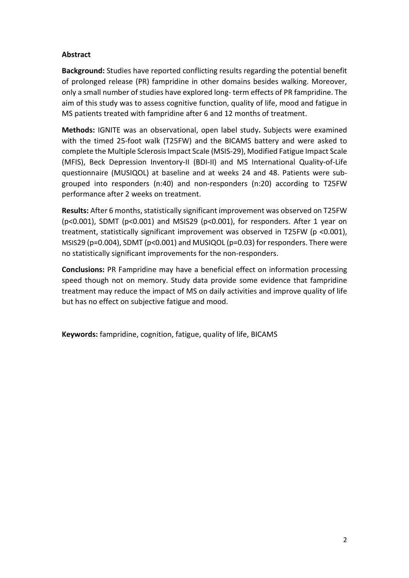## **Abstract**

**Background:** Studies have reported conflicting results regarding the potential benefit of prolonged release (PR) fampridine in other domains besides walking. Moreover, only a small number of studies have explored long- term effects of PR fampridine. The aim of this study was to assess cognitive function, quality of life, mood and fatigue in MS patients treated with fampridine after 6 and 12 months of treatment.

**Methods:** IGNITE was an observational, open label study**.** Subjects were examined with the timed 25-foot walk (T25FW) and the BICAMS battery and were asked to complete the Multiple Sclerosis Impact Scale (MSIS-29), Modified Fatigue Impact Scale (MFIS), Beck Depression Inventory-II (BDI-II) and MS International Quality-of-Life questionnaire (MUSIQOL) at baseline and at weeks 24 and 48. Patients were subgrouped into responders (n:40) and non-responders (n:20) according to T25FW performance after 2 weeks on treatment.

**Results:** After 6 months, statistically significant improvement was observed on T25FW (p<0.001), SDMT (p<0.001) and MSIS29 (p<0.001), for responders. After 1 year on treatment, statistically significant improvement was observed in T25FW (p <0.001), MSIS29 (p=0.004), SDMT (p<0.001) and MUSIQOL (p=0.03) for responders. There were no statistically significant improvements for the non-responders.

**Conclusions:** PR Fampridine may have a beneficial effect on information processing speed though not on memory. Study data provide some evidence that fampridine treatment may reduce the impact of MS on daily activities and improve quality of life but has no effect on subjective fatigue and mood.

**Keywords:** fampridine, cognition, fatigue, quality of life, BICAMS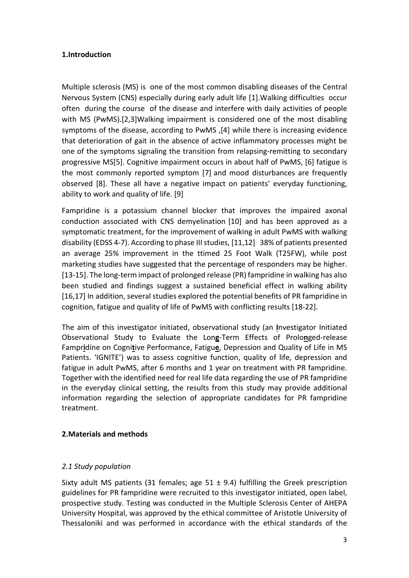## **1.Introduction**

Multiple sclerosis (MS) is one of the most common disabling diseases of the Central Nervous System (CNS) especially during early adult life [1].Walking difficulties occur often during the course of the disease and interfere with daily activities of people with MS (PwMS).[2,3]Walking impairment is considered one of the most disabling symptoms of the disease, according to PwMS ,[4] while there is increasing evidence that deterioration of gait in the absence of active inflammatory processes might be one of the symptoms signaling the transition from relapsing-remitting to secondary progressive MS[5]. Cognitive impairment occurs in about half of PwMS, [6] fatigue is the most commonly reported symptom [7] and mood disturbances are frequently observed [8]. These all have a negative impact on patients' everyday functioning, ability to work and quality of life. [9]

Fampridine is a potassium channel blocker that improves the impaired axonal conduction associated with CNS demyelination [10] and has been approved as a symptomatic treatment, for the improvement of walking in adult PwMS with walking disability (EDSS 4-7). According to phase III studies, [11,12] 38% of patients presented an average 25% improvement in the ttimed 25 Foot Walk (T25FW), while post marketing studies have suggested that the percentage of responders may be higher. [13-15]. The long-term impact of prolonged release (PR) fampridine in walking has also been studied and findings suggest a sustained beneficial effect in walking ability [16,17] In addition, several studies explored the potential benefits of PR fampridine in cognition, fatigue and quality of life of PwMS with conflicting results [18-22].

The aim of this investigator initiated, observational study (an **I**nvestigator Initiated Observational Study to Evaluate the Lon**g**-Term Effects of Prolo**n**ged-release Fampr**i**dine on Cogni**t**ive Performance, Fatigu**e**, Depression and Quality of Life in MS Patients. 'IGNITE') was to assess cognitive function, quality of life, depression and fatigue in adult PwMS, after 6 months and 1 year on treatment with PR fampridine. Together with the identified need for real life data regarding the use of PR fampridine in the everyday clinical setting, the results from this study may provide additional information regarding the selection of appropriate candidates for PR fampridine treatment.

## **2.Materials and methods**

#### *2.1 Study population*

Sixty adult MS patients (31 females; age  $51 \pm 9.4$ ) fulfilling the Greek prescription guidelines for PR fampridine were recruited to this investigator initiated, open label, prospective study. Testing was conducted in the Multiple Sclerosis Center of AHEPA University Hospital, was approved by the ethical committee of Aristotle University of Thessaloniki and was performed in accordance with the ethical standards of the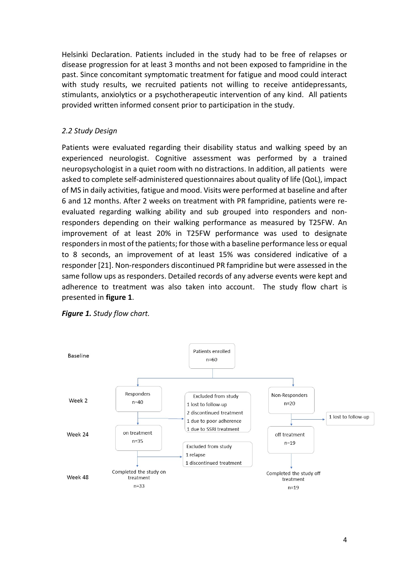Helsinki Declaration. Patients included in the study had to be free of relapses or disease progression for at least 3 months and not been exposed to fampridine in the past. Since concomitant symptomatic treatment for fatigue and mood could interact with study results, we recruited patients not willing to receive antidepressants, stimulants, anxiolytics or a psychotherapeutic intervention of any kind. All patients provided written informed consent prior to participation in the study.

## *2.2 Study Design*

Patients were evaluated regarding their disability status and walking speed by an experienced neurologist. Cognitive assessment was performed by a trained neuropsychologist in a quiet room with no distractions. In addition, all patients were asked to complete self-administered questionnaires about quality of life (QoL), impact of MS in daily activities, fatigue and mood. Visits were performed at baseline and after 6 and 12 months. After 2 weeks on treatment with PR fampridine, patients were reevaluated regarding walking ability and sub grouped into responders and nonresponders depending on their walking performance as measured by T25FW. An improvement of at least 20% in T25FW performance was used to designate responders in most of the patients; for those with a baseline performance less or equal to 8 seconds, an improvement of at least 15% was considered indicative of a responder [21]. Non-responders discontinued PR fampridine but were assessed in the same follow ups as responders. Detailed records of any adverse events were kept and adherence to treatment was also taken into account. The study flow chart is presented in **figure 1**.



*Figure 1. Study flow chart.*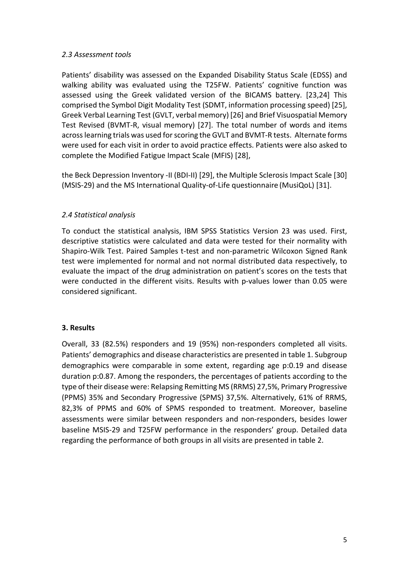#### *2.3 Assessment tools*

Patients' disability was assessed on the Expanded Disability Status Scale (EDSS) and walking ability was evaluated using the T25FW. Patients' cognitive function was assessed using the Greek validated version of the BICAMS battery. [23,24] This comprised the Symbol Digit Modality Test (SDMT, information processing speed) [25], Greek Verbal Learning Test (GVLT, verbal memory) [26] and Brief Visuospatial Memory Test Revised (BVMT-R, visual memory) [27]. The total number of words and items across learning trials was used for scoring the GVLT and BVMT-R tests. Alternate forms were used for each visit in order to avoid practice effects. Patients were also asked to complete the Modified Fatigue Impact Scale (MFIS) [28],

the Beck Depression Inventory -II (BDI-II) [29], the Multiple Sclerosis Impact Scale [30] (MSIS*-*29) and the MS International Quality-of-Life questionnaire (MusiQoL) [31].

# *2.4 Statistical analysis*

To conduct the statistical analysis, IBM SPSS Statistics Version 23 was used. First, descriptive statistics were calculated and data were tested for their normality with Shapiro-Wilk Test. Paired Samples t-test and non-parametric Wilcoxon Signed Rank test were implemented for normal and not normal distributed data respectively, to evaluate the impact of the drug administration on patient's scores on the tests that were conducted in the different visits. Results with p-values lower than 0.05 were considered significant.

## **3. Results**

Overall, 33 (82.5%) responders and 19 (95%) non-responders completed all visits. Patients' demographics and disease characteristics are presented in table 1. Subgroup demographics were comparable in some extent, regarding age p:0.19 and disease duration p:0.87. Among the responders, the percentages of patients according to the type of their disease were: Relapsing Remitting MS (RRMS) 27,5%, Primary Progressive (PPMS) 35% and Secondary Progressive (SPMS) 37,5%. Alternatively, 61% of RRMS, 82,3% of PPMS and 60% of SPMS responded to treatment. Moreover, baseline assessments were similar between responders and non-responders, besides lower baseline MSIS-29 and T25FW performance in the responders' group. Detailed data regarding the performance of both groups in all visits are presented in table 2.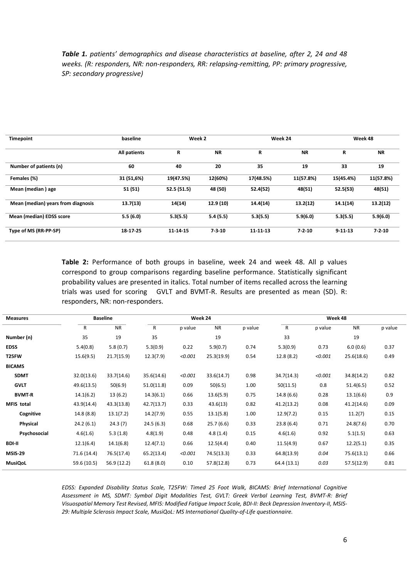*Table 1. patients' demographics and disease characteristics at baseline, after 2, 24 and 48 weeks. (R: responders, NR: non-responders, RR: relapsing-remitting, PP: primary progressive, SP: secondary progressive)*

| Timepoint                          | baseline     | Week 2      |              | Week 24   |              | Week 48       |              |
|------------------------------------|--------------|-------------|--------------|-----------|--------------|---------------|--------------|
|                                    | All patients | R           | <b>NR</b>    | R         | <b>NR</b>    | R             | <b>NR</b>    |
| Number of patients (n)             | 60           | 40          | 20           | 35        | 19           | 33            | 19           |
| Females (%)                        | 31 (51,6%)   | 19(47.5%)   | 12(60%)      | 17(48.5%) | 11(57.8%)    | 15(45.4%)     | 11(57.8%)    |
| Mean (median) age                  | 51 (51)      | 52.5 (51.5) | 48 (50)      | 52.4(52)  | 48(51)       | 52.5(53)      | 48(51)       |
| Mean (median) years from diagnosis | 13.7(13)     | 14(14)      | 12.9(10)     | 14.4(14)  | 13.2(12)     | 14.1(14)      | 13.2(12)     |
| Mean (median) EDSS score           | 5.5(6.0)     | 5.3(5.5)    | 5.4(5.5)     | 5.3(5.5)  | 5.9(6.0)     | 5.3(5.5)      | 5.9(6.0)     |
| Type of MS (RR-PP-SP)              | 18-17-25     | 11-14-15    | $7 - 3 - 10$ | 11 11 13  | $7 - 2 - 10$ | $9 - 11 - 13$ | $7 - 2 - 10$ |

**Table 2:** Performance of both groups in baseline, week 24 and week 48. All p values correspond to group comparisons regarding baseline performance. Statistically significant probability values are presented in italics. Total number of items recalled across the learning trials was used for scoring GVLT and BVMT-R. Results are presented as mean (SD). R: responders, NR: non-responders.

| <b>Measures</b>   |             | <b>Baseline</b> | Week 24    |         |            | Week 48 |              |         |            |         |
|-------------------|-------------|-----------------|------------|---------|------------|---------|--------------|---------|------------|---------|
|                   | R           | <b>NR</b>       | R          | p value | <b>NR</b>  | p value | $\mathsf{R}$ | p value | <b>NR</b>  | p value |
| Number (n)        | 35          | 19              | 35         |         | 19         |         | 33           |         | 19         |         |
| <b>EDSS</b>       | 5.4(0.8)    | 5.8(0.7)        | 5.3(0.9)   | 0.22    | 5.9(0.7)   | 0.74    | 5.3(0.9)     | 0.73    | 6.0(0.6)   | 0.37    |
| T25FW             | 15.6(9.5)   | 21.7(15.9)      | 12.3(7.9)  | < 0.001 | 25.3(19.9) | 0.54    | 12.8(8.2)    | < 0.001 | 25.6(18.6) | 0.49    |
| <b>BICAMS</b>     |             |                 |            |         |            |         |              |         |            |         |
| <b>SDMT</b>       | 32.0(13.6)  | 33.7(14.6)      | 35.6(14.6) | < 0.001 | 33.6(14.7) | 0.98    | 34.7(14.3)   | < 0.001 | 34.8(14.2) | 0.82    |
| <b>GVLT</b>       | 49.6(13.5)  | 50(6.9)         | 51.0(11.8) | 0.09    | 50(6.5)    | 1.00    | 50(11.5)     | 0.8     | 51.4(6.5)  | 0.52    |
| <b>BVMT-R</b>     | 14.1(6.2)   | 13(6.2)         | 14.3(6.1)  | 0.66    | 13.6(5.9)  | 0.75    | 14.8(6.6)    | 0.28    | 13.1(6.6)  | 0.9     |
| <b>MFIS</b> total | 43.9(14.4)  | 43.3(13.8)      | 42.7(13.7) | 0.33    | 43.6(13)   | 0.82    | 41.2(13.2)   | 0.08    | 41.2(14.6) | 0.09    |
| Cognitive         | 14.8(8.8)   | 13.1(7.2)       | 14.2(7.9)  | 0.55    | 13.1(5.8)  | 1.00    | 12.9(7.2)    | 0.15    | 11.2(7)    | 0.15    |
| Physical          | 24.2(6.1)   | 24.3(7)         | 24.5(6.3)  | 0.68    | 25.7(6.6)  | 0.33    | 23.8(6.4)    | 0.71    | 24.8(7.6)  | 0.70    |
| Psychosocial      | 4.6(1.6)    | 5.3(1.8)        | 4.8(1.9)   | 0.48    | 4.8(1.4)   | 0.15    | 4.6(1.6)     | 0.92    | 5.1(1.5)   | 0.63    |
| <b>BDI-II</b>     | 12.1(6.4)   | 14.1(6.8)       | 12.4(7.1)  | 0.66    | 12.5(4.4)  | 0.40    | 11.5(4.9)    | 0.67    | 12.2(5.1)  | 0.35    |
| <b>MSIS-29</b>    | 71.6 (14.4) | 76.5(17.4)      | 65.2(13.4) | < 0.001 | 74.5(13.3) | 0.33    | 64.8(13.9)   | 0.04    | 75.6(13.1) | 0.66    |
| <b>MusiQoL</b>    | 59.6 (10.5) | 56.9 (12.2)     | 61.8(8.0)  | 0.10    | 57.8(12.8) | 0.73    | 64.4 (13.1)  | 0.03    | 57.5(12.9) | 0.81    |

*EDSS: Expanded Disability Status Scale, T25FW: Timed 25 Foot Walk, BICAMS: Brief International Cognitive Assessment in MS, SDMT: Symbol Digit Modalities Test, GVLT: Greek Verbal Learning Test, BVMT-R: Brief Visuospatial Memory Test Revised, MFIS: Modified Fatigue Impact Scale, BDI-II: Beck Depression Inventory-II, MSIS-29: Multiple Sclerosis Impact Scale, MusiQoL: MS International Quality-of-Life questionnaire.*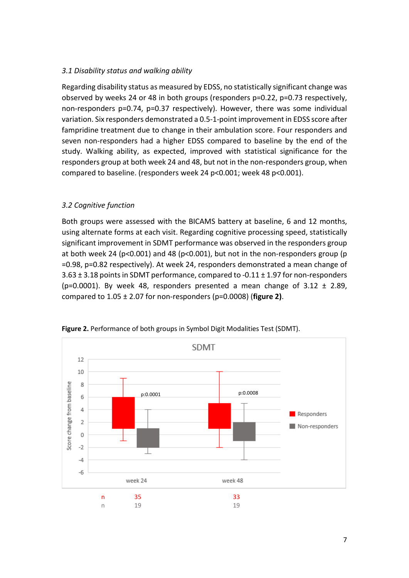#### *3.1 Disability status and walking ability*

Regarding disability status as measured by EDSS, no statistically significant change was observed by weeks 24 or 48 in both groups (responders p=0.22, p=0.73 respectively, non-responders p=0.74, p=0.37 respectively). However, there was some individual variation. Six responders demonstrated a 0.5-1-point improvement in EDSS score after fampridine treatment due to change in their ambulation score. Four responders and seven non-responders had a higher EDSS compared to baseline by the end of the study. Walking ability, as expected, improved with statistical significance for the responders group at both week 24 and 48, but not in the non-responders group, when compared to baseline. (responders week 24 p<0.001; week 48 p<0.001).

## *3.2 Cognitive function*

Both groups were assessed with the BICAMS battery at baseline, 6 and 12 months, using alternate forms at each visit. Regarding cognitive processing speed, statistically significant improvement in SDMT performance was observed in the responders group at both week 24 (p<0.001) and 48 (p<0.001), but not in the non-responders group (p =0.98, p=0.82 respectively). At week 24, responders demonstrated a mean change of  $3.63 \pm 3.18$  points in SDMT performance, compared to -0.11  $\pm$  1.97 for non-responders (p=0.0001). By week 48, responders presented a mean change of  $3.12 \pm 2.89$ , compared to 1.05 ± 2.07 for non-responders (p=0.0008) (**figure 2)**.



**Figure 2.** Performance of both groups in Symbol Digit Modalities Test (SDMT).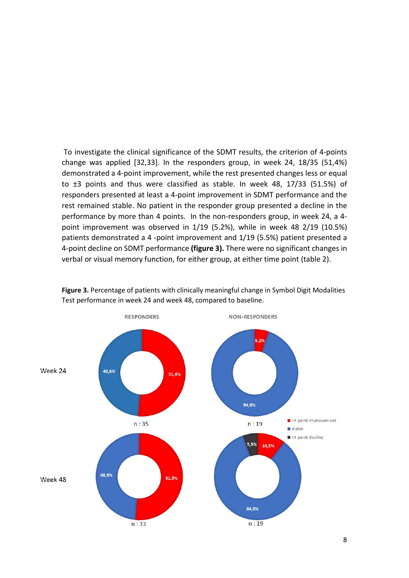To investigate the clinical significance of the SDMT results, the criterion of 4-points change was applied [32,33]. In the responders group, in week 24, 18/35 (51,4%) demonstrated a 4-point improvement, while the rest presented changes less or equal to ±3 points and thus were classified as stable. In week 48, 17/33 (51.5%) of responders presented at least a 4-point improvement in SDMT performance and the rest remained stable. No patient in the responder group presented a decline in the performance by more than 4 points. In the non-responders group, in week 24, a 4 point improvement was observed in 1/19 (5.2%), while in week 48 2/19 (10.5%) patients demonstrated a 4 -point improvement and 1/19 (5.5%) patient presented a 4-point decline on SDMT performance **(figure 3).** There were no significant changes in verbal or visual memory function, for either group, at either time point (table 2).



**Figure 3.** Percentage of patients with clinically meaningful change in Symbol Digit Modalities Test performance in week 24 and week 48, compared to baseline.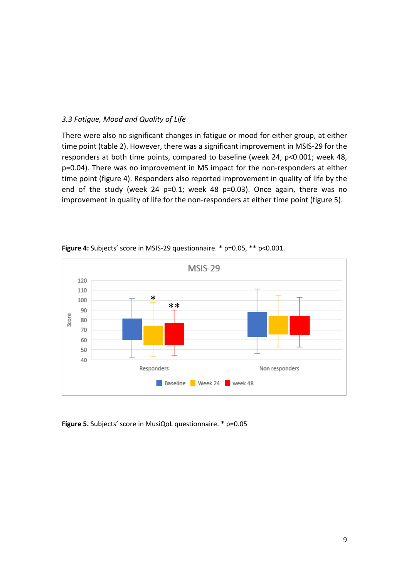#### *3.3 Fatigue, Mood and Quality of Life*

There were also no significant changes in fatigue or mood for either group, at either time point (table 2). However, there was a significant improvement in MSIS-29 for the responders at both time points, compared to baseline (week 24, p<0.001; week 48, p=0.04). There was no improvement in MS impact for the non-responders at either time point (figure 4). Responders also reported improvement in quality of life by the end of the study (week 24 p=0.1; week 48 p=0.03). Once again, there was no improvement in quality of life for the non-responders at either time point (figure 5).



**Figure 4:** Subjects' score in MSIS-29 questionnaire. \* p=0.05, \*\* p<0.001.

**Figure 5.** Subjects' score in MusiQoL questionnaire. \* p=0.05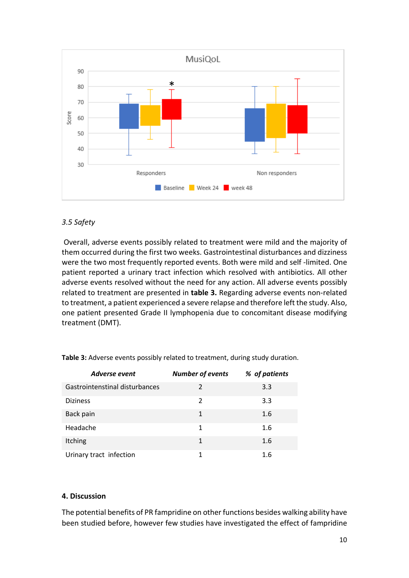

# *3.5 Safety*

Overall, adverse events possibly related to treatment were mild and the majority of them occurred during the first two weeks. Gastrointestinal disturbances and dizziness were the two most frequently reported events. Both were mild and self -limited. One patient reported a urinary tract infection which resolved with antibiotics. All other adverse events resolved without the need for any action. All adverse events possibly related to treatment are presented in **table 3.** Regarding adverse events non-related to treatment, a patient experienced a severe relapse and therefore left the study. Also, one patient presented Grade II lymphopenia due to concomitant disease modifying treatment (DMT).

| <b>Adverse event</b>           | <b>Number of events</b> | % of patients |
|--------------------------------|-------------------------|---------------|
| Gastrointenstinal disturbances | $\mathcal{P}$           | 3.3           |
| <b>Diziness</b>                | $\mathcal{P}$           | 3.3           |
| Back pain                      | 1                       | 1.6           |
| Headache                       | 1                       | 1.6           |
| Itching                        | 1                       | 1.6           |
| Urinary tract infection        |                         | 1.6           |

**Table 3:** Adverse events possibly related to treatment, during study duration.

## **4. Discussion**

The potential benefits of PR fampridine on other functions besides walking ability have been studied before, however few studies have investigated the effect of fampridine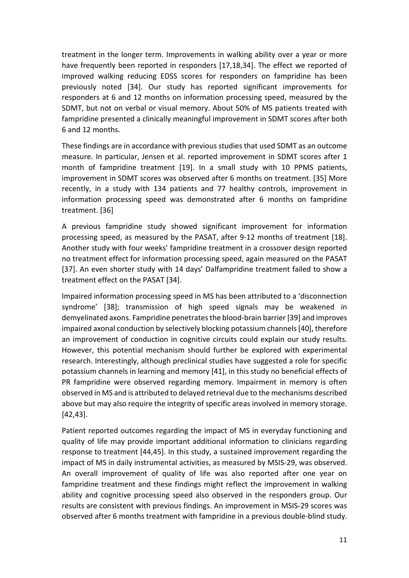treatment in the longer term. Improvements in walking ability over a year or more have frequently been reported in responders [17,18,34]. The effect we reported of improved walking reducing EDSS scores for responders on fampridine has been previously noted [34]. Our study has reported significant improvements for responders at 6 and 12 months on information processing speed, measured by the SDMT, but not on verbal or visual memory. About 50% of MS patients treated with fampridine presented a clinically meaningful improvement in SDMT scores after both 6 and 12 months.

These findings are in accordance with previous studies that used SDMT as an outcome measure. In particular, Jensen et al. reported improvement in SDMT scores after 1 month of fampridine treatment [19]. In a small study with 10 PPMS patients, improvement in SDMT scores was observed after 6 months on treatment. [35] More recently, in a study with 134 patients and 77 healthy controls, improvement in information processing speed was demonstrated after 6 months on fampridine treatment. [36]

A previous fampridine study showed significant improvement for information processing speed, as measured by the PASAT, after 9-12 months of treatment [18]. Another study with four weeks' fampridine treatment in a crossover design reported no treatment effect for information processing speed, again measured on the PASAT [37]. An even shorter study with 14 days' Dalfampridine treatment failed to show a treatment effect on the PASAT [34].

Impaired information processing speed in MS has been attributed to a 'disconnection syndrome' [38]; transmission of high speed signals may be weakened in demyelinated axons. Fampridine penetrates the blood-brain barrier[39] and improves impaired axonal conduction by selectively blocking potassium channels [40], therefore an improvement of conduction in cognitive circuits could explain our study results. However, this potential mechanism should further be explored with experimental research. Interestingly, although preclinical studies have suggested a role for specific potassium channels in learning and memory [41], in this study no beneficial effects of PR fampridine were observed regarding memory. Impairment in memory is often observed in MS and is attributed to delayed retrieval due to the mechanisms described above but may also require the integrity of specific areas involved in memory storage. [42,43].

Patient reported outcomes regarding the impact of MS in everyday functioning and quality of life may provide important additional information to clinicians regarding response to treatment [44,45]. In this study, a sustained improvement regarding the impact of MS in daily instrumental activities, as measured by MSIS-29, was observed. An overall improvement of quality of life was also reported after one year on fampridine treatment and these findings might reflect the improvement in walking ability and cognitive processing speed also observed in the responders group. Our results are consistent with previous findings. An improvement in MSIS-29 scores was observed after 6 months treatment with fampridine in a previous double-blind study.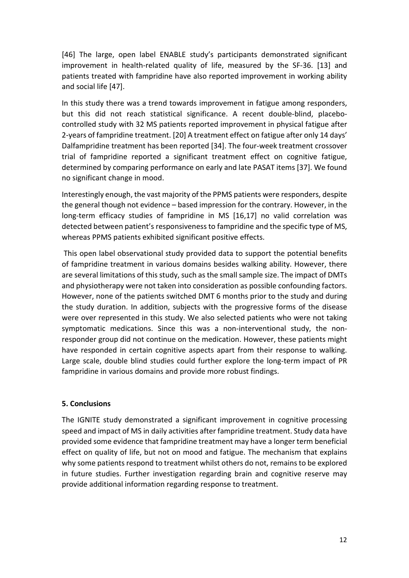[46] The large, open label ENABLE study's participants demonstrated significant improvement in health-related quality of life, measured by the SF-36. [13] and patients treated with fampridine have also reported improvement in working ability and social life [47].

In this study there was a trend towards improvement in fatigue among responders, but this did not reach statistical significance. A recent double-blind, placebocontrolled study with 32 MS patients reported improvement in physical fatigue after 2-years of fampridine treatment. [20] A treatment effect on fatigue after only 14 days' Dalfampridine treatment has been reported [34]. The four-week treatment crossover trial of fampridine reported a significant treatment effect on cognitive fatigue, determined by comparing performance on early and late PASAT items [37]. We found no significant change in mood.

Interestingly enough, the vast majority of the PPMS patients were responders, despite the general though not evidence – based impression for the contrary. However, in the long-term efficacy studies of fampridine in MS [16,17] no valid correlation was detected between patient's responsiveness to fampridine and the specific type of MS, whereas PPMS patients exhibited significant positive effects.

This open label observational study provided data to support the potential benefits of fampridine treatment in various domains besides walking ability. However, there are several limitations of this study, such as the small sample size. The impact of DMTs and physiotherapy were not taken into consideration as possible confounding factors. However, none of the patients switched DMT 6 months prior to the study and during the study duration. In addition, subjects with the progressive forms of the disease were over represented in this study. We also selected patients who were not taking symptomatic medications. Since this was a non-interventional study, the nonresponder group did not continue on the medication. However, these patients might have responded in certain cognitive aspects apart from their response to walking. Large scale, double blind studies could further explore the long-term impact of PR fampridine in various domains and provide more robust findings.

## **5. Conclusions**

The IGNITE study demonstrated a significant improvement in cognitive processing speed and impact of MS in daily activities after fampridine treatment. Study data have provided some evidence that fampridine treatment may have a longer term beneficial effect on quality of life, but not on mood and fatigue. The mechanism that explains why some patients respond to treatment whilst others do not, remainsto be explored in future studies. Further investigation regarding brain and cognitive reserve may provide additional information regarding response to treatment.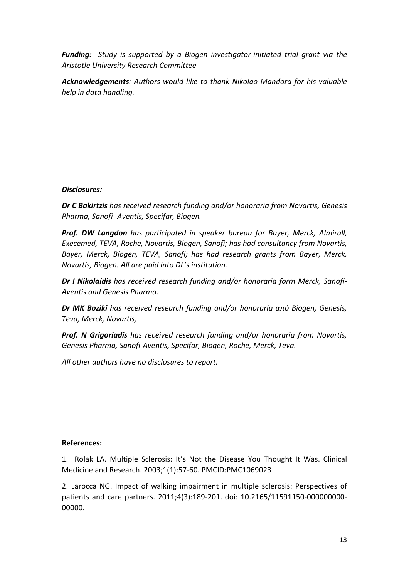*Funding: Study is supported by a Biogen investigator-initiated trial grant via the Aristotle University Research Committee*

*Acknowledgements: Authors would like to thank Nikolao Mandora for his valuable help in data handling.* 

# *Disclosures:*

*Dr C Bakirtzis has received research funding and/or honoraria from Novartis, Genesis Pharma, Sanofi -Aventis, Specifar, Biogen.* 

*Prof. DW Langdon has participated in speaker bureau for Bayer, Merck, Almirall, Execemed, TEVA, Roche, Novartis, Biogen, Sanofi; has had consultancy from Novartis, Bayer, Merck, Biogen, TEVA, Sanofi; has had research grants from Bayer, Merck, Novartis, Biogen. All are paid into DL's institution.*

*Dr I Nikolaidis has received research funding and/or honoraria form Merck, Sanofi-Aventis and Genesis Pharma.*

*Dr MK Boziki has received research funding and/or honoraria από Biogen, Genesis, Teva, Merck, Novartis,*

*Prof. N Grigoriadis has received research funding and/or honoraria from Novartis, Genesis Pharma, Sanofi-Aventis, Specifar, Biogen, Roche, Merck, Teva.*

*All other authors have no disclosures to report.*

## **References:**

1. Rolak LA. Multiple Sclerosis: It's Not the Disease You Thought It Was. Clinical Medicine and Research. 2003;1(1):57-60. PMCID[:PMC1069023](https://www.ncbi.nlm.nih.gov/pmc/articles/PMC1069023/)

2. Larocca NG. Impact of walking impairment in multiple sclerosis: Perspectives of patients and care partners. 2011;4(3):189-201. doi: 10.2165/11591150-000000000- 00000.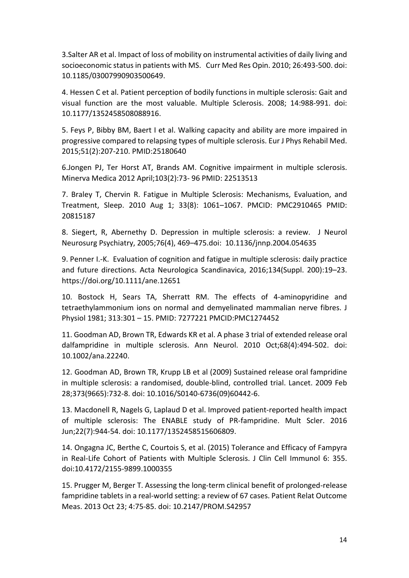3.Salter AR et al. Impact of loss of mobility on instrumental activities of daily living and socioeconomic status in patients with MS. Curr Med Res Opin. 2010; 26:493-500. doi: 10.1185/03007990903500649.

4. Hessen C et al. Patient perception of bodily functions in multiple sclerosis: Gait and visual function are the most valuable. Multiple Sclerosis. 2008; 14:988-991. doi: 10.1177/1352458508088916.

5. Feys P, Bibby BM, Baert I et al. Walking capacity and ability are more impaired in progressive compared to relapsing types of multiple sclerosis. Eur J Phys Rehabil Med. 2015;51(2):207-210. PMID:25180640

6[.Jongen PJ,](https://www.ncbi.nlm.nih.gov/pubmed/?term=Jongen%20PJ%5BAuthor%5D&cauthor=true&cauthor_uid=22513513) [Ter Horst AT,](https://www.ncbi.nlm.nih.gov/pubmed/?term=Ter%20Horst%20AT%5BAuthor%5D&cauthor=true&cauthor_uid=22513513) [Brands AM.](https://www.ncbi.nlm.nih.gov/pubmed/?term=Brands%20AM%5BAuthor%5D&cauthor=true&cauthor_uid=22513513) Cognitive impairment in multiple sclerosis. Minerva Medica 2012 April;103(2):73- 96 PMID: 22513513

7. Braley T, Chervin R. Fatigue in Multiple Sclerosis: Mechanisms, Evaluation, and Treatment, [Sleep.](https://www.ncbi.nlm.nih.gov/pmc/articles/PMC2910465/) 2010 Aug 1; 33(8): 1061–1067. PMCID: PMC2910465 PMID: [20815187](https://www.ncbi.nlm.nih.gov/pubmed/20815187)

8. Siegert, R, Abernethy D. Depression in multiple sclerosis: a review. [J Neurol](https://www.ncbi.nlm.nih.gov/pmc/articles/PMC1739575/)  [Neurosurg Psychiatry,](https://www.ncbi.nlm.nih.gov/pmc/articles/PMC1739575/) 2005;76(4), 469–475.doi: [10.1136/jnnp.2004.054635](https://dx.doi.org/10.1136%2Fjnnp.2004.054635)

9. Penner I.-K. Evaluation of cognition and fatigue in multiple sclerosis: daily practice and future directions. Acta Neurologica Scandinavica, 2016;134(Suppl. 200):19–23. <https://doi.org/10.1111/ane.12651>

10. Bostock H, Sears TA, Sherratt RM. The effects of 4-aminopyridine and tetraethylammonium ions on normal and demyelinated mammalian nerve fibres. J Physiol 1981; 313:301 – 15. PMID: 7277221 PMCID[:PMC1274452](https://www.ncbi.nlm.nih.gov/pmc/articles/PMC1274452/)

11. Goodman AD, Brown TR, Edwards KR et al. A phase 3 trial of extended release oral dalfampridine in multiple sclerosis. [Ann Neurol.](https://www.ncbi.nlm.nih.gov/pubmed/?term=Goodman+AD%2C+Brown+TR%2C+Edwards+KR+et+al+(2010)+A+phase+3+trial+of+extended+release+oral+dalfampridine+in+multiple+sclerosis.+Ann+Neurol+68%3A494%E2%80%93502) 2010 Oct;68(4):494-502. doi: 10.1002/ana.22240.

12. Goodman AD, Brown TR, Krupp LB et al (2009) Sustained release oral fampridine in multiple sclerosis: a randomised, double-blind, controlled trial. [Lancet.](https://www.ncbi.nlm.nih.gov/pubmed/19249634) 2009 Feb 28;373(9665):732-8. doi: 10.1016/S0140-6736(09)60442-6.

13. Macdonell R, Nagels G, Laplaud D et al. Improved patient-reported health impact of multiple sclerosis: The ENABLE study of PR-fampridine. [Mult Scler.](https://www.ncbi.nlm.nih.gov/pubmed/26447066) 2016 Jun;22(7):944-54. doi: 10.1177/1352458515606809.

14. Ongagna JC, Berthe C, Courtois S, et al. (2015) Tolerance and Efficacy of Fampyra in Real-Life Cohort of Patients with Multiple Sclerosis. J Clin Cell Immunol 6: 355. doi:10.4172/2155-9899.1000355

15. Prugger M, Berger T. Assessing the long-term clinical benefit of prolonged-release fampridine tablets in a real-world setting: a review of 67 cases. [Patient Relat Outcome](https://www.ncbi.nlm.nih.gov/pubmed/24187513)  [Meas.](https://www.ncbi.nlm.nih.gov/pubmed/24187513) 2013 Oct 23; 4:75-85. doi: 10.2147/PROM.S42957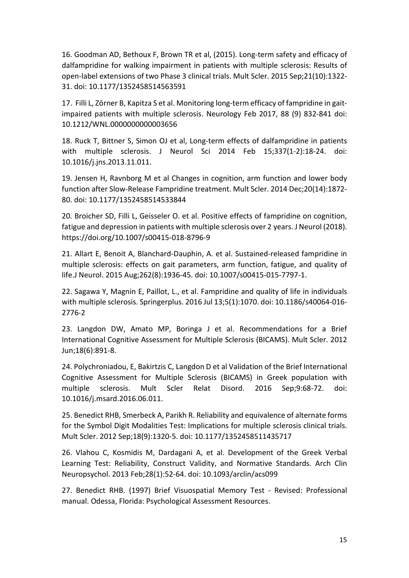16. Goodman AD, Bethoux F, Brown TR et al, (2015). Long-term safety and efficacy of dalfampridine for walking impairment in patients with multiple sclerosis: Results of open-label extensions of two Phase 3 clinical trials. [Mult Scler.](https://www.ncbi.nlm.nih.gov/pubmed/25583832) 2015 Sep;21(10):1322- 31. doi: 10.1177/1352458514563591

17. Filli L, Zörner B, Kapitza S et al. Monitoring long-term efficacy of fampridine in gaitimpaired patients with multiple sclerosis. Neurology Feb 2017, 88 (9) 832-841 doi: 10.1212/WNL.0000000000003656

18. Ruck T, Bittner S, Simon OJ et al, Long-term effects of dalfampridine in patients with multiple sclerosis. J Neurol Sci 2014 Feb 15;337(1-2):18-24. doi: 10.1016/j.jns.2013.11.011.

19. Jensen H, Ravnborg M et al Changes in cognition, arm function and lower body function after Slow-Release Fampridine treatment. [Mult Scler.](https://www.ncbi.nlm.nih.gov/pubmed/24852920) 2014 Dec;20(14):1872- 80. doi: 10.1177/1352458514533844

20. Broicher SD, Filli L, Geisseler O. et al. Positive effects of fampridine on cognition, fatigue and depression in patients with multiple sclerosis over 2 years. J Neurol (2018). <https://doi.org/10.1007/s00415-018-8796-9>

21. Allart E, Benoit A, Blanchard-Dauphin, A. et al. Sustained-released fampridine in multiple sclerosis: effects on gait parameters, arm function, fatigue, and quality of life[.J Neurol.](https://www.ncbi.nlm.nih.gov/pubmed/26041616) 2015 Aug;262(8):1936-45. doi: 10.1007/s00415-015-7797-1.

22. Sagawa Y, Magnin E, Paillot, L., et al. Fampridine and quality of life in individuals with multiple sclerosis[. Springerplus.](https://www.ncbi.nlm.nih.gov/pubmed/27462518) 2016 Jul 13;5(1):1070. doi: 10.1186/s40064-016- 2776-2

23. Langdon DW, Amato MP, Boringa J et al. Recommendations for a Brief International Cognitive Assessment for Multiple Sclerosis (BICAMS). Mult Scler. 2012 Jun;18(6):891-8.

24. Polychroniadou, E, Bakirtzis C, [Langdon D](https://www.ncbi.nlm.nih.gov/pubmed/?term=Langdon%20D%5BAuthor%5D&cauthor=true&cauthor_uid=27645348) et al Validation of the Brief International Cognitive Assessment for Multiple Sclerosis (BICAMS) in Greek population with multiple sclerosis. [Mult Scler Relat Disord.](https://www.ncbi.nlm.nih.gov/pubmed/27645348) 2016 Sep;9:68-72. doi: 10.1016/j.msard.2016.06.011.

25. Benedict RHB, Smerbeck A, Parikh R. Reliability and equivalence of alternate forms for the Symbol Digit Modalities Test: Implications for multiple sclerosis clinical trials. [Mult Scler.](https://www.ncbi.nlm.nih.gov/pubmed/22277740) 2012 Sep;18(9):1320-5. doi: 10.1177/1352458511435717

26. Vlahou C, Kosmidis M, Dardagani A, et al. Development of the Greek Verbal Learning Test: Reliability, Construct Validity, and Normative Standards. [Arch Clin](https://www.ncbi.nlm.nih.gov/pubmed/23179043)  [Neuropsychol.](https://www.ncbi.nlm.nih.gov/pubmed/23179043) 2013 Feb;28(1):52-64. doi: 10.1093/arclin/acs099

27. Benedict RHB. (1997) Brief Visuospatial Memory Test - Revised: Professional manual. Odessa, Florida: Psychological Assessment Resources.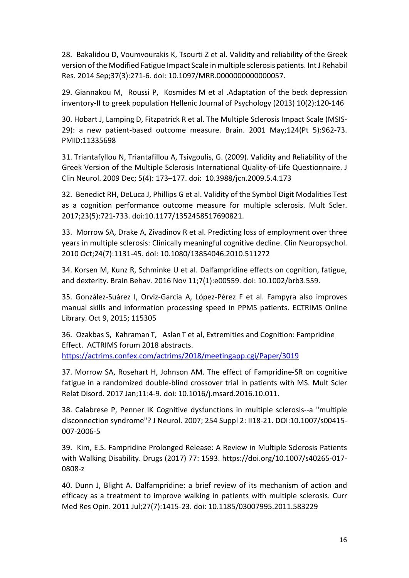28. Bakalidou D, Voumvourakis K, Tsourti Z et al. Validity and reliability of the Greek version of the Modified Fatigue Impact Scale in multiple sclerosis patients. [Int J Rehabil](https://www.ncbi.nlm.nih.gov/pubmed/24557490)  [Res.](https://www.ncbi.nlm.nih.gov/pubmed/24557490) 2014 Sep;37(3):271-6. doi: 10.1097/MRR.0000000000000057.

29. [Giannakou](https://www.researchgate.net/profile/Maria_Giannakou2) M, [Roussi](https://www.researchgate.net/profile/Pagona_Roussi) P, [Kosmides](https://www.researchgate.net/scientific-contributions/2087666981_M-E_Kosmides) M et al .Adaptation of the beck depression inventory-II to greek population Hellenic Journal of Psychology (2013) 10(2):120-146

30. [Hobart J,](https://www.ncbi.nlm.nih.gov/pubmed/?term=Hobart%20J%5BAuthor%5D&cauthor=true&cauthor_uid=11335698) [Lamping D,](https://www.ncbi.nlm.nih.gov/pubmed/?term=Lamping%20D%5BAuthor%5D&cauthor=true&cauthor_uid=11335698) [Fitzpatrick R](https://www.ncbi.nlm.nih.gov/pubmed/?term=Fitzpatrick%20R%5BAuthor%5D&cauthor=true&cauthor_uid=11335698) et al. The Multiple Sclerosis Impact Scale (MSIS-29): a new patient-based outcome measure. [Brain.](https://www.ncbi.nlm.nih.gov/pubmed/11335698) 2001 May;124(Pt 5):962-73. PMID:11335698

31. Triantafyllou N, Triantafillou A, Tsivgoulis, G. (2009). Validity and Reliability of the Greek Version of the Multiple Sclerosis International Quality-of-Life Questionnaire. [J](https://www.ncbi.nlm.nih.gov/pmc/articles/PMC2806539/)  [Clin Neurol.](https://www.ncbi.nlm.nih.gov/pmc/articles/PMC2806539/) 2009 Dec; 5(4): 173–177. doi: [10.3988/jcn.2009.5.4.173](https://dx.doi.org/10.3988%2Fjcn.2009.5.4.173)

32. Benedict RH, DeLuca J, Phillips G et al. Validity of the Symbol Digit Modalities Test as a cognition performance outcome measure for multiple sclerosis. Mult Scler. 2017;23(5):721-733. doi:10.1177/1352458517690821.

33. Morrow SA, Drake A, Zivadinov R et al. Predicting loss of employment over three years in multiple sclerosis: Clinically meaningful cognitive decline. [Clin Neuropsychol.](https://www.ncbi.nlm.nih.gov/pubmed/20830649) 2010 Oct;24(7):1131-45. doi: 10.1080/13854046.2010.511272

34. Korsen M, Kunz R, Schminke U et al. Dalfampridine effects on cognition, fatigue, and dexterity. Brain Behav. 2016 Nov 11;7(1):e00559. doi: 10.1002/brb3.559.

35. González-Suárez I, Orviz-Garcia A, López-Pérez F et al. Fampyra also improves manual skills and information processing speed in PPMS patients. ECTRIMS Online Library. Oct 9, 2015; 115305

36. Ozakbas S, Kahraman T, Aslan T et al, [Extremities and Cognition: Fampridine](https://actrims.confex.com/actrims/2018/meetingapp.cgi/Paper/3019)  [Effect.](https://actrims.confex.com/actrims/2018/meetingapp.cgi/Paper/3019) ACTRIMS forum 2018 abstracts. <https://actrims.confex.com/actrims/2018/meetingapp.cgi/Paper/3019>

37. Morrow SA, Rosehart H, Johnson AM. The effect of Fampridine-SR on cognitive fatigue in a randomized double-blind crossover trial in patients with MS. Mult Scler Relat Disord. 2017 Jan;11:4-9. doi: 10.1016/j.msard.2016.10.011.

38. [Calabrese P,](https://www.ncbi.nlm.nih.gov/pubmed/?term=Calabrese%20P%5BAuthor%5D&cauthor=true&cauthor_uid=17503122) [Penner IK](https://www.ncbi.nlm.nih.gov/pubmed/?term=Penner%20IK%5BAuthor%5D&cauthor=true&cauthor_uid=17503122) Cognitive dysfunctions in multiple sclerosis--a "multiple disconnection syndrome"? [J Neurol.](https://www.ncbi.nlm.nih.gov/pubmed/17503122) 2007; 254 Suppl 2: II18-21. DOI[:10.1007/s00415-](https://doi.org/10.1007/s00415-007-2006-5) [007-2006-5](https://doi.org/10.1007/s00415-007-2006-5)

39. Kim, E.S. Fampridine Prolonged Release: A Review in Multiple Sclerosis Patients with Walking Disability. Drugs (2017) 77: 1593. [https://doi.org/10.1007/s40265-017-](https://doi.org/10.1007/s40265-017-0808-z) [0808-z](https://doi.org/10.1007/s40265-017-0808-z)

40. Dunn J, Blight A. Dalfampridine: a brief review of its mechanism of action and efficacy as a treatment to improve walking in patients with multiple sclerosis. [Curr](https://www.ncbi.nlm.nih.gov/pubmed/21595605)  [Med Res Opin.](https://www.ncbi.nlm.nih.gov/pubmed/21595605) 2011 Jul;27(7):1415-23. doi: 10.1185/03007995.2011.583229